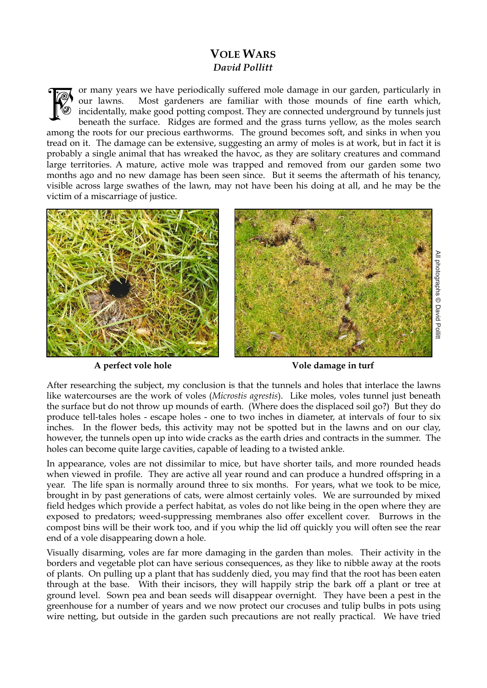## **VOLE WARS**  *David Pollitt*

or many years we have periodically suffered mole damage in our garden, particularly in our lawns. Most gardeners are familiar with those mounds of fine earth which, incidentally, make good potting compost. They are connected underground by tunnels just beneath the surface. Ridges are formed and the grass turns yellow, as the moles search among the roots for our precious earthworms. The ground becomes soft, and sinks in when you tread on it. The damage can be extensive, suggesting an army of moles is at work, but in fact it is probably a single animal that has wreaked the havoc, as they are solitary creatures and command large territories. A mature, active mole was trapped and removed from our garden some two months ago and no new damage has been seen since. But it seems the aftermath of his tenancy, visible across large swathes of the lawn, may not have been his doing at all, and he may be the victim of a miscarriage of justice. **FO** 





**A perfect vole hole Vole damage in turf**

After researching the subject, my conclusion is that the tunnels and holes that interlace the lawns like watercourses are the work of voles (*Microstis agrestis*). Like moles, voles tunnel just beneath the surface but do not throw up mounds of earth. (Where does the displaced soil go?) But they do produce tell-tales holes - escape holes - one to two inches in diameter, at intervals of four to six inches. In the flower beds, this activity may not be spotted but in the lawns and on our clay, however, the tunnels open up into wide cracks as the earth dries and contracts in the summer. The holes can become quite large cavities, capable of leading to a twisted ankle.

In appearance, voles are not dissimilar to mice, but have shorter tails, and more rounded heads when viewed in profile. They are active all year round and can produce a hundred offspring in a year. The life span is normally around three to six months. For years, what we took to be mice, brought in by past generations of cats, were almost certainly voles. We are surrounded by mixed field hedges which provide a perfect habitat, as voles do not like being in the open where they are exposed to predators; weed-suppressing membranes also offer excellent cover. Burrows in the compost bins will be their work too, and if you whip the lid off quickly you will often see the rear end of a vole disappearing down a hole. Where researching the subject, they have seen to the subject of the subject of the system of the system of the wire of the system of the system of the system of the system of the system of the system of the system of the s

Visually disarming, voles are far more damaging in the garden than moles. Their activity in the borders and vegetable plot can have serious consequences, as they like to nibble away at the roots of plants. On pulling up a plant that has suddenly died, you may find that the root has been eaten through at the base. With their incisors, they will happily strip the bark off a plant or tree at ground level. Sown pea and bean seeds will disappear overnight. They have been a pest in the greenhouse for a number of years and we now protect our crocuses and tulip bulbs in pots using